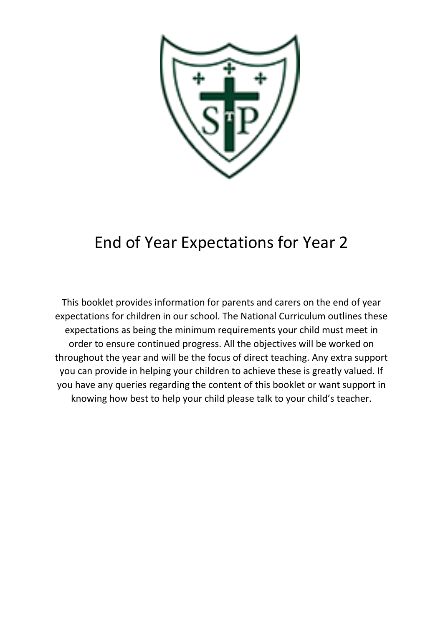

### End of Year Expectations for Year 2

This booklet provides information for parents and carers on the end of year expectations for children in our school. The National Curriculum outlines these expectations as being the minimum requirements your child must meet in order to ensure continued progress. All the objectives will be worked on throughout the year and will be the focus of direct teaching. Any extra support you can provide in helping your children to achieve these is greatly valued. If you have any queries regarding the content of this booklet or want support in knowing how best to help your child please talk to your child's teacher.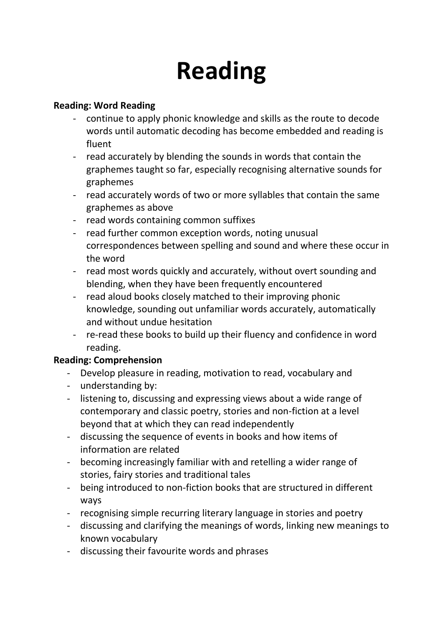# **Reading**

#### **Reading: Word Reading**

- continue to apply phonic knowledge and skills as the route to decode words until automatic decoding has become embedded and reading is fluent
- read accurately by blending the sounds in words that contain the graphemes taught so far, especially recognising alternative sounds for graphemes
- read accurately words of two or more syllables that contain the same graphemes as above
- read words containing common suffixes
- read further common exception words, noting unusual correspondences between spelling and sound and where these occur in the word
- read most words quickly and accurately, without overt sounding and blending, when they have been frequently encountered
- read aloud books closely matched to their improving phonic knowledge, sounding out unfamiliar words accurately, automatically and without undue hesitation
- re-read these books to build up their fluency and confidence in word reading.

#### **Reading: Comprehension**

- Develop pleasure in reading, motivation to read, vocabulary and
- understanding by:
- listening to, discussing and expressing views about a wide range of contemporary and classic poetry, stories and non-fiction at a level beyond that at which they can read independently
- discussing the sequence of events in books and how items of information are related
- becoming increasingly familiar with and retelling a wider range of stories, fairy stories and traditional tales
- being introduced to non-fiction books that are structured in different ways
- recognising simple recurring literary language in stories and poetry
- discussing and clarifying the meanings of words, linking new meanings to known vocabulary
- discussing their favourite words and phrases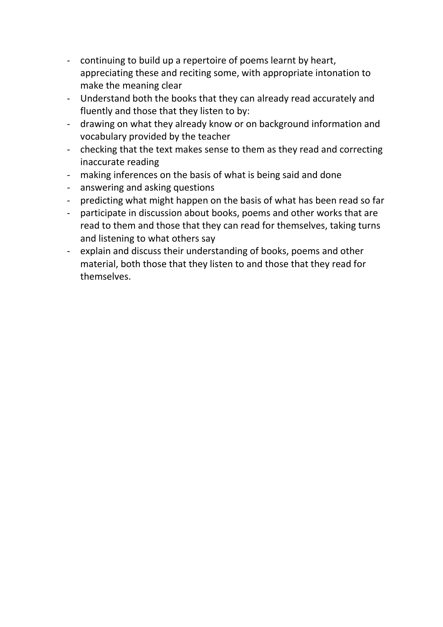- continuing to build up a repertoire of poems learnt by heart, appreciating these and reciting some, with appropriate intonation to make the meaning clear
- Understand both the books that they can already read accurately and fluently and those that they listen to by:
- drawing on what they already know or on background information and vocabulary provided by the teacher
- checking that the text makes sense to them as they read and correcting inaccurate reading
- making inferences on the basis of what is being said and done
- answering and asking questions
- predicting what might happen on the basis of what has been read so far
- participate in discussion about books, poems and other works that are read to them and those that they can read for themselves, taking turns and listening to what others say
- explain and discuss their understanding of books, poems and other material, both those that they listen to and those that they read for themselves.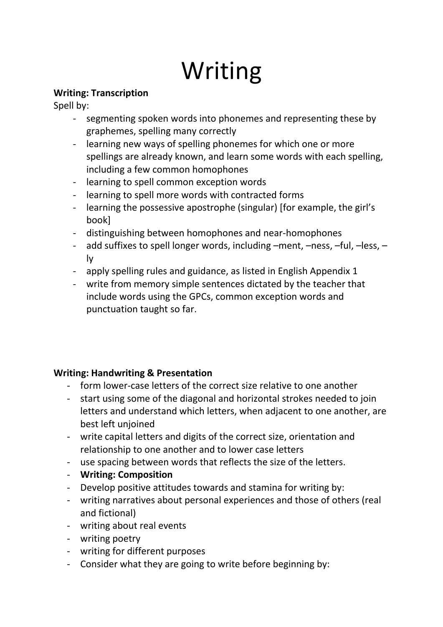## Writing

#### **Writing: Transcription**

Spell by:

- segmenting spoken words into phonemes and representing these by graphemes, spelling many correctly
- learning new ways of spelling phonemes for which one or more spellings are already known, and learn some words with each spelling, including a few common homophones
- learning to spell common exception words
- learning to spell more words with contracted forms
- learning the possessive apostrophe (singular) [for example, the girl's book]
- distinguishing between homophones and near-homophones
- add suffixes to spell longer words, including –ment, –ness, –ful, –less, ly
- apply spelling rules and guidance, as listed in English Appendix 1
- write from memory simple sentences dictated by the teacher that include words using the GPCs, common exception words and punctuation taught so far.

#### **Writing: Handwriting & Presentation**

- form lower-case letters of the correct size relative to one another
- start using some of the diagonal and horizontal strokes needed to join letters and understand which letters, when adjacent to one another, are best left unjoined
- write capital letters and digits of the correct size, orientation and relationship to one another and to lower case letters
- use spacing between words that reflects the size of the letters.
- **Writing: Composition**
- Develop positive attitudes towards and stamina for writing by:
- writing narratives about personal experiences and those of others (real and fictional)
- writing about real events
- writing poetry
- writing for different purposes
- Consider what they are going to write before beginning by: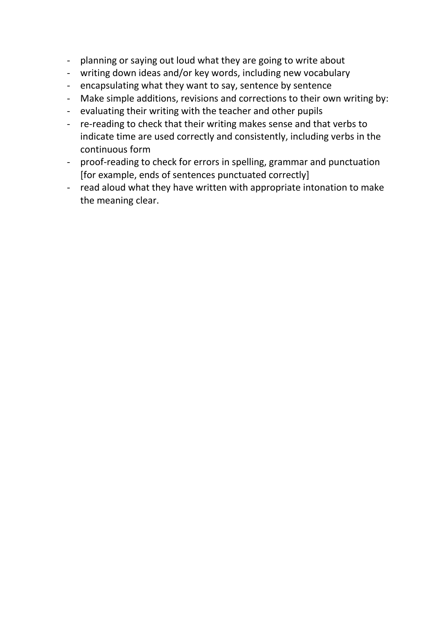- planning or saying out loud what they are going to write about
- writing down ideas and/or key words, including new vocabulary
- encapsulating what they want to say, sentence by sentence
- Make simple additions, revisions and corrections to their own writing by:
- evaluating their writing with the teacher and other pupils
- re-reading to check that their writing makes sense and that verbs to indicate time are used correctly and consistently, including verbs in the continuous form
- proof-reading to check for errors in spelling, grammar and punctuation [for example, ends of sentences punctuated correctly]
- read aloud what they have written with appropriate intonation to make the meaning clear.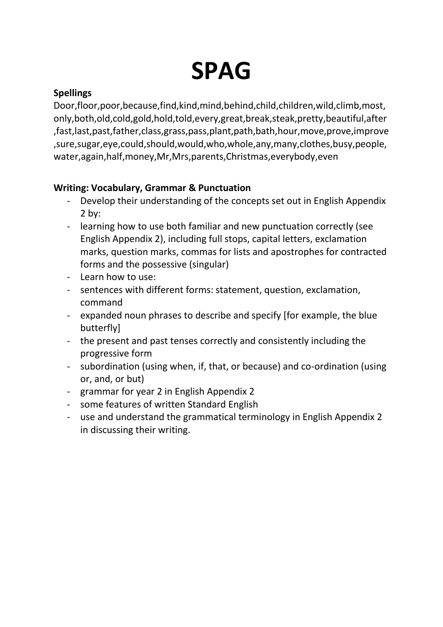## **SPAG**

#### **Spellings**

Door,floor,poor,because,find,kind,mind,behind,child,children,wild,climb,most, only,both,old,cold,gold,hold,told,every,great,break,steak,pretty,beautiful,after ,fast,last,past,father,class,grass,pass,plant,path,bath,hour,move,prove,improve ,sure,sugar,eye,could,should,would,who,whole,any,many,clothes,busy,people, water,again,half,money,Mr,Mrs,parents,Christmas,everybody,even

#### **Writing: Vocabulary, Grammar & Punctuation**

- Develop their understanding of the concepts set out in English Appendix 2 by:
- learning how to use both familiar and new punctuation correctly (see English Appendix 2), including full stops, capital letters, exclamation marks, question marks, commas for lists and apostrophes for contracted forms and the possessive (singular)
- Learn how to use:
- sentences with different forms: statement, question, exclamation, command
- expanded noun phrases to describe and specify [for example, the blue butterfly]
- the present and past tenses correctly and consistently including the progressive form
- subordination (using when, if, that, or because) and co-ordination (using or, and, or but)
- grammar for year 2 in English Appendix 2
- some features of written Standard English
- use and understand the grammatical terminology in English Appendix 2 in discussing their writing.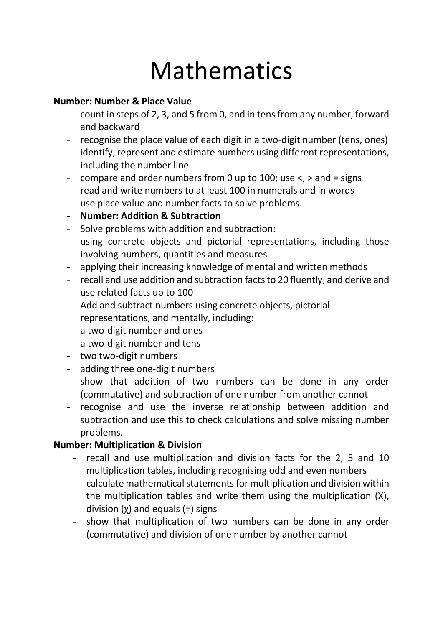### Mathematics

#### **Number: Number & Place Value**

- count in steps of 2, 3, and 5 from 0, and in tens from any number, forward and backward
- recognise the place value of each digit in a two-digit number (tens, ones)
- identify, represent and estimate numbers using different representations, including the number line
- compare and order numbers from 0 up to 100; use <, > and = signs
- read and write numbers to at least 100 in numerals and in words
- use place value and number facts to solve problems.
- **Number: Addition & Subtraction**
- Solve problems with addition and subtraction:
- using concrete objects and pictorial representations, including those involving numbers, quantities and measures
- applying their increasing knowledge of mental and written methods
- recall and use addition and subtraction facts to 20 fluently, and derive and use related facts up to 100
- Add and subtract numbers using concrete objects, pictorial representations, and mentally, including:
- a two-digit number and ones
- a two-digit number and tens
- two two-digit numbers
- adding three one-digit numbers
- show that addition of two numbers can be done in any order (commutative) and subtraction of one number from another cannot
- recognise and use the inverse relationship between addition and subtraction and use this to check calculations and solve missing number problems.

#### **Number: Multiplication & Division**

- recall and use multiplication and division facts for the 2, 5 and 10 multiplication tables, including recognising odd and even numbers
- calculate mathematical statements for multiplication and division within the multiplication tables and write them using the multiplication (Χ), division  $(x)$  and equals  $(=)$  signs
- show that multiplication of two numbers can be done in any order (commutative) and division of one number by another cannot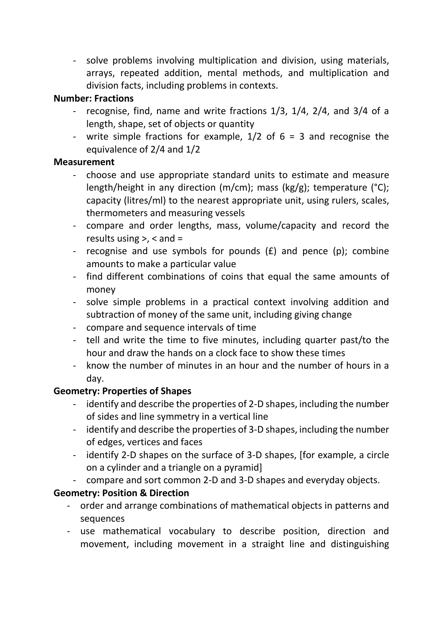- solve problems involving multiplication and division, using materials, arrays, repeated addition, mental methods, and multiplication and division facts, including problems in contexts.

#### **Number: Fractions**

- recognise, find, name and write fractions 1/3, 1/4, 2/4, and 3/4 of a length, shape, set of objects or quantity
- write simple fractions for example,  $1/2$  of  $6 = 3$  and recognise the equivalence of 2/4 and 1/2

#### **Measurement**

- choose and use appropriate standard units to estimate and measure length/height in any direction (m/cm); mass (kg/g); temperature (°C); capacity (litres/ml) to the nearest appropriate unit, using rulers, scales, thermometers and measuring vessels
- compare and order lengths, mass, volume/capacity and record the results using  $>$ ,  $<$  and  $=$
- recognise and use symbols for pounds (£) and pence (p); combine amounts to make a particular value
- find different combinations of coins that equal the same amounts of money
- solve simple problems in a practical context involving addition and subtraction of money of the same unit, including giving change
- compare and sequence intervals of time
- tell and write the time to five minutes, including quarter past/to the hour and draw the hands on a clock face to show these times
- know the number of minutes in an hour and the number of hours in a day.

#### **Geometry: Properties of Shapes**

- identify and describe the properties of 2-D shapes, including the number of sides and line symmetry in a vertical line
- identify and describe the properties of 3-D shapes, including the number of edges, vertices and faces
- identify 2-D shapes on the surface of 3-D shapes, [for example, a circle on a cylinder and a triangle on a pyramid]
- compare and sort common 2-D and 3-D shapes and everyday objects.

#### **Geometry: Position & Direction**

- order and arrange combinations of mathematical objects in patterns and sequences
- use mathematical vocabulary to describe position, direction and movement, including movement in a straight line and distinguishing